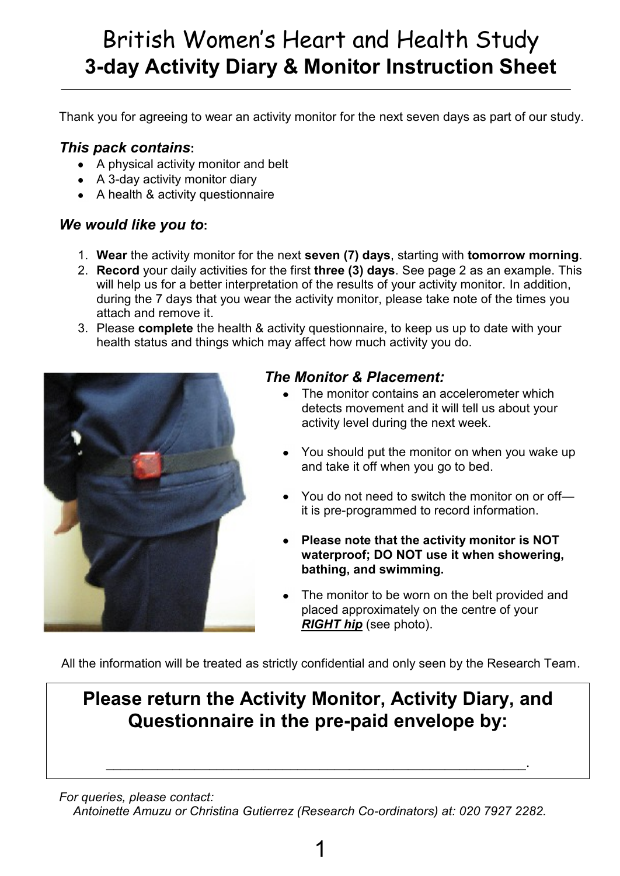# British Women's Heart and Health Study **3-day Activity Diary & Monitor Instruction Sheet**

Thank you for agreeing to wear an activity monitor for the next seven days as part of our study.

#### *This pack contains***:**

- A physical activity monitor and belt
- A 3-day activity monitor diary
- A health & activity questionnaire

### *We would like you to***:**

- 1. **Wear** the activity monitor for the next **seven (7) days**, starting with **tomorrow morning**.
- 2. **Record** your daily activities for the first **three (3) days**. See page 2 as an example. This will help us for a better interpretation of the results of your activity monitor. In addition, during the 7 days that you wear the activity monitor, please take note of the times you attach and remove it.
- 3. Please **complete** the health & activity questionnaire, to keep us up to date with your health status and things which may affect how much activity you do.



### *The Monitor & Placement:*

- The monitor contains an accelerometer which detects movement and it will tell us about your activity level during the next week.
- You should put the monitor on when you wake up and take it off when you go to bed.
- You do not need to switch the monitor on or off it is pre-programmed to record information.
- **Please note that the activity monitor is NOT waterproof; DO NOT use it when showering, bathing, and swimming.**
- The monitor to be worn on the belt provided and placed approximately on the centre of your *RIGHT hip* (see photo).

All the information will be treated as strictly confidential and only seen by the Research Team.

### **Please return the Activity Monitor, Activity Diary, and Questionnaire in the pre-paid envelope by:**

 $\mathcal{L}_\mathcal{L} = \{ \mathcal{L}_\mathcal{L} = \{ \mathcal{L}_\mathcal{L} = \{ \mathcal{L}_\mathcal{L} = \{ \mathcal{L}_\mathcal{L} = \{ \mathcal{L}_\mathcal{L} = \{ \mathcal{L}_\mathcal{L} = \{ \mathcal{L}_\mathcal{L} = \{ \mathcal{L}_\mathcal{L} = \{ \mathcal{L}_\mathcal{L} = \{ \mathcal{L}_\mathcal{L} = \{ \mathcal{L}_\mathcal{L} = \{ \mathcal{L}_\mathcal{L} = \{ \mathcal{L}_\mathcal{L} = \{ \mathcal{L}_\mathcal{$ 

*For queries, please contact:* 

*Antoinette Amuzu or Christina Gutierrez (Research Co-ordinators) at: 020 7927 2282.*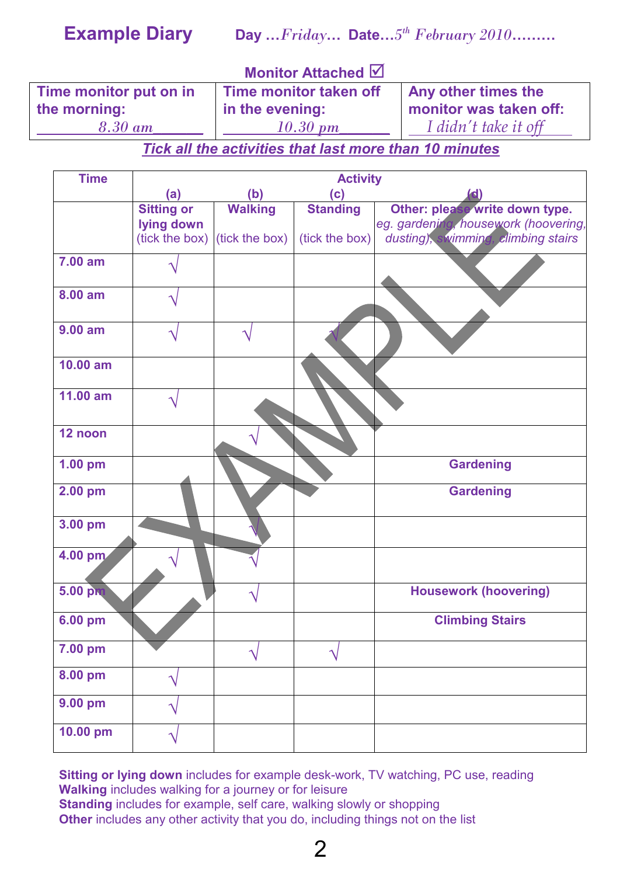| <b>Monitor Attached Ø</b> |                                 |                                                 |                                   |                        |                                                                                                               |
|---------------------------|---------------------------------|-------------------------------------------------|-----------------------------------|------------------------|---------------------------------------------------------------------------------------------------------------|
| Time monitor put on in    |                                 | Time monitor taken off                          |                                   | Any other times the    |                                                                                                               |
| the morning:              |                                 | in the evening:                                 |                                   | monitor was taken off: |                                                                                                               |
| $8.30 \text{ am}$         |                                 |                                                 | <u>10.30 pm</u>                   |                        | I didn't take it off                                                                                          |
|                           |                                 |                                                 |                                   |                        | Tick all the activities that last more than 10 minutes                                                        |
| <b>Time</b>               | (a)                             | (b)                                             | <b>Activity</b><br>(c)            |                        |                                                                                                               |
|                           | <b>Sitting or</b><br>lying down | <b>Walking</b><br>(tick the box) (tick the box) | <b>Standing</b><br>(tick the box) |                        | Other: please write down type.<br>eg. gardening, housework (hoovering,<br>dusting), swimming, climbing stairs |
| 7.00 am                   |                                 |                                                 |                                   |                        |                                                                                                               |
| 8.00 am                   |                                 |                                                 |                                   |                        |                                                                                                               |
| 9.00 am                   |                                 |                                                 |                                   |                        |                                                                                                               |
| 10.00 am                  |                                 |                                                 |                                   |                        |                                                                                                               |
| 11.00 am                  |                                 |                                                 |                                   |                        |                                                                                                               |
| 12 noon                   |                                 |                                                 |                                   |                        |                                                                                                               |
| $1.00$ pm                 |                                 |                                                 |                                   |                        | <b>Gardening</b>                                                                                              |
| 2.00 pm                   |                                 |                                                 |                                   |                        | <b>Gardening</b>                                                                                              |
| 3.00 pm                   |                                 |                                                 |                                   |                        |                                                                                                               |
| 4.00 pm                   |                                 |                                                 |                                   |                        |                                                                                                               |
| 5.00 pm                   |                                 |                                                 |                                   |                        | <b>Housework (hoovering)</b>                                                                                  |
| 6.00 pm                   |                                 |                                                 |                                   |                        | <b>Climbing Stairs</b>                                                                                        |
| 7.00 pm                   |                                 |                                                 | Ñ                                 |                        |                                                                                                               |
| 8.00 pm                   |                                 |                                                 |                                   |                        |                                                                                                               |
| 9.00 pm                   |                                 |                                                 |                                   |                        |                                                                                                               |
| 10.00 pm                  |                                 |                                                 |                                   |                        |                                                                                                               |

**Sitting or lying down** includes for example desk-work, TV watching, PC use, reading **Walking** includes walking for a journey or for leisure **Standing** includes for example, self care, walking slowly or shopping **Other** includes any other activity that you do, including things not on the list

2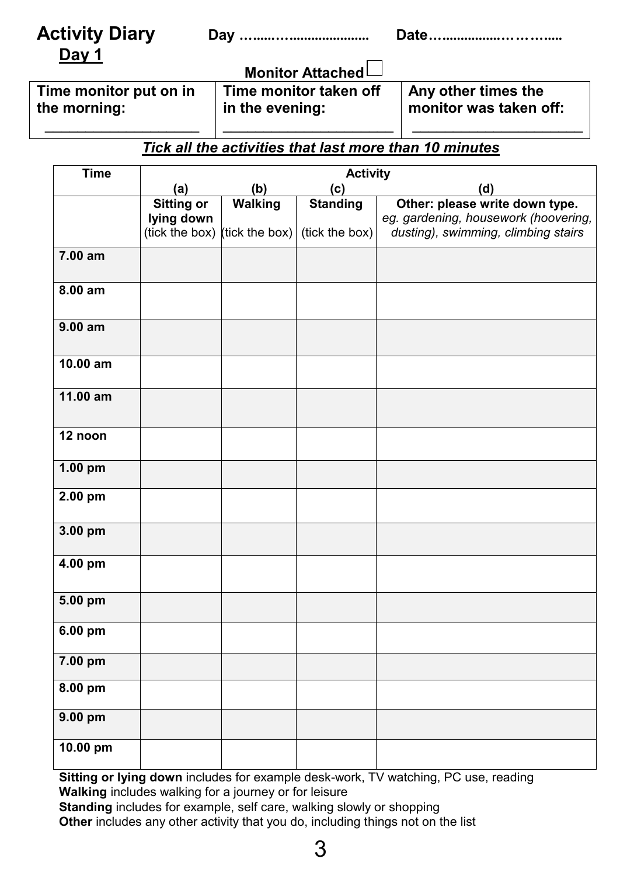| <b>Activity Diary</b> |  |  |
|-----------------------|--|--|
|-----------------------|--|--|

# **Day 1**

**Time monitor put on in the morning:**

 $\overline{\phantom{a}}$  ,  $\overline{\phantom{a}}$  ,  $\overline{\phantom{a}}$  ,  $\overline{\phantom{a}}$  ,  $\overline{\phantom{a}}$  ,  $\overline{\phantom{a}}$  ,  $\overline{\phantom{a}}$  ,  $\overline{\phantom{a}}$  ,  $\overline{\phantom{a}}$  ,  $\overline{\phantom{a}}$  ,  $\overline{\phantom{a}}$  ,  $\overline{\phantom{a}}$  ,  $\overline{\phantom{a}}$  ,  $\overline{\phantom{a}}$  ,  $\overline{\phantom{a}}$  ,  $\overline{\phantom{a}}$ 

 **Monitor Attached** 

\_\_\_\_\_\_\_\_\_\_\_\_\_\_\_\_\_\_\_\_\_

**Time monitor taken off in the evening:**

**Any other times the monitor was taken off:**

\_\_\_\_\_\_\_\_\_\_\_\_\_\_\_\_\_\_\_\_\_

### *Tick all the activities that last more than 10 minutes*

| <b>Time</b> | <b>Activity</b>   |                |                                                      |                                      |
|-------------|-------------------|----------------|------------------------------------------------------|--------------------------------------|
|             | (a)               | (b)            | (c)                                                  | (d)                                  |
|             | <b>Sitting or</b> | <b>Walking</b> | <b>Standing</b>                                      | Other: please write down type.       |
|             | lying down        |                |                                                      | eg. gardening, housework (hoovering, |
|             |                   |                | (tick the box) (tick the box) $ $ (tick the box) $ $ | dusting), swimming, climbing stairs  |
|             |                   |                |                                                      |                                      |
| 7.00 am     |                   |                |                                                      |                                      |
|             |                   |                |                                                      |                                      |
| 8.00 am     |                   |                |                                                      |                                      |
|             |                   |                |                                                      |                                      |
|             |                   |                |                                                      |                                      |
| 9.00 am     |                   |                |                                                      |                                      |
|             |                   |                |                                                      |                                      |
|             |                   |                |                                                      |                                      |
| 10.00 am    |                   |                |                                                      |                                      |
|             |                   |                |                                                      |                                      |
| 11.00 am    |                   |                |                                                      |                                      |
|             |                   |                |                                                      |                                      |
|             |                   |                |                                                      |                                      |
| 12 noon     |                   |                |                                                      |                                      |
|             |                   |                |                                                      |                                      |
| 1.00 pm     |                   |                |                                                      |                                      |
|             |                   |                |                                                      |                                      |
| 2.00 pm     |                   |                |                                                      |                                      |
|             |                   |                |                                                      |                                      |
|             |                   |                |                                                      |                                      |
| 3.00 pm     |                   |                |                                                      |                                      |
|             |                   |                |                                                      |                                      |
| 4.00 pm     |                   |                |                                                      |                                      |
|             |                   |                |                                                      |                                      |
|             |                   |                |                                                      |                                      |
| 5.00 pm     |                   |                |                                                      |                                      |
|             |                   |                |                                                      |                                      |
| 6.00 pm     |                   |                |                                                      |                                      |
|             |                   |                |                                                      |                                      |
| 7.00 pm     |                   |                |                                                      |                                      |
|             |                   |                |                                                      |                                      |
| 8.00 pm     |                   |                |                                                      |                                      |
|             |                   |                |                                                      |                                      |
| $9.00$ pm   |                   |                |                                                      |                                      |
|             |                   |                |                                                      |                                      |
| 10.00 pm    |                   |                |                                                      |                                      |
|             |                   |                |                                                      |                                      |

**Sitting or lying down** includes for example desk-work, TV watching, PC use, reading **Walking** includes walking for a journey or for leisure **Standing** includes for example, self care, walking slowly or shopping **Other** includes any other activity that you do, including things not on the list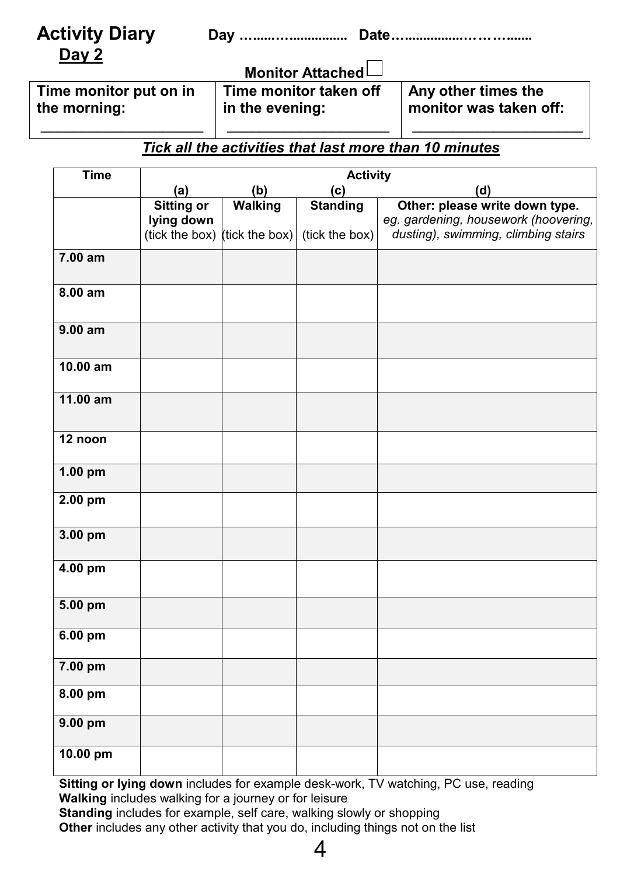| <b>Activity Diary</b> |  |  |
|-----------------------|--|--|
|-----------------------|--|--|

**Time monitor put on in the morning:**

\_\_\_\_\_\_\_\_\_\_\_\_\_\_\_\_\_\_\_\_

**Day 2** 

 **Monitor Attached** 

\_\_\_\_\_\_\_\_\_\_\_\_\_\_\_\_\_\_\_\_

**Time monitor taken off in the evening:**

**Any other times the monitor was taken off:**

\_\_\_\_\_\_\_\_\_\_\_\_\_\_\_\_\_\_\_\_\_

### *Tick all the activities that last more than 10 minutes*

| <b>Time</b> | Activity          |                |                                              |                                      |
|-------------|-------------------|----------------|----------------------------------------------|--------------------------------------|
|             | (a)               | (b)            | (c)                                          | (d)                                  |
|             | <b>Sitting or</b> | <b>Walking</b> | <b>Standing</b>                              | Other: please write down type.       |
|             | lying down        |                |                                              | eg. gardening, housework (hoovering, |
|             |                   |                | (tick the box) (tick the box) (tick the box) | dusting), swimming, climbing stairs  |
|             |                   |                |                                              |                                      |
| 7.00 am     |                   |                |                                              |                                      |
|             |                   |                |                                              |                                      |
| 8.00 am     |                   |                |                                              |                                      |
|             |                   |                |                                              |                                      |
|             |                   |                |                                              |                                      |
| $9.00$ am   |                   |                |                                              |                                      |
|             |                   |                |                                              |                                      |
|             |                   |                |                                              |                                      |
| 10.00 am    |                   |                |                                              |                                      |
|             |                   |                |                                              |                                      |
| 11.00 am    |                   |                |                                              |                                      |
|             |                   |                |                                              |                                      |
|             |                   |                |                                              |                                      |
| 12 noon     |                   |                |                                              |                                      |
|             |                   |                |                                              |                                      |
| 1.00 pm     |                   |                |                                              |                                      |
|             |                   |                |                                              |                                      |
| 2.00 pm     |                   |                |                                              |                                      |
|             |                   |                |                                              |                                      |
|             |                   |                |                                              |                                      |
| 3.00 pm     |                   |                |                                              |                                      |
|             |                   |                |                                              |                                      |
| 4.00 pm     |                   |                |                                              |                                      |
|             |                   |                |                                              |                                      |
|             |                   |                |                                              |                                      |
| 5.00 pm     |                   |                |                                              |                                      |
|             |                   |                |                                              |                                      |
| 6.00 pm     |                   |                |                                              |                                      |
|             |                   |                |                                              |                                      |
| 7.00 pm     |                   |                |                                              |                                      |
|             |                   |                |                                              |                                      |
| 8.00 pm     |                   |                |                                              |                                      |
|             |                   |                |                                              |                                      |
| 9.00 pm     |                   |                |                                              |                                      |
|             |                   |                |                                              |                                      |
| 10.00 pm    |                   |                |                                              |                                      |
|             |                   |                |                                              |                                      |

**Sitting or lying down** includes for example desk-work, TV watching, PC use, reading **Walking** includes walking for a journey or for leisure **Standing** includes for example, self care, walking slowly or shopping **Other** includes any other activity that you do, including things not on the list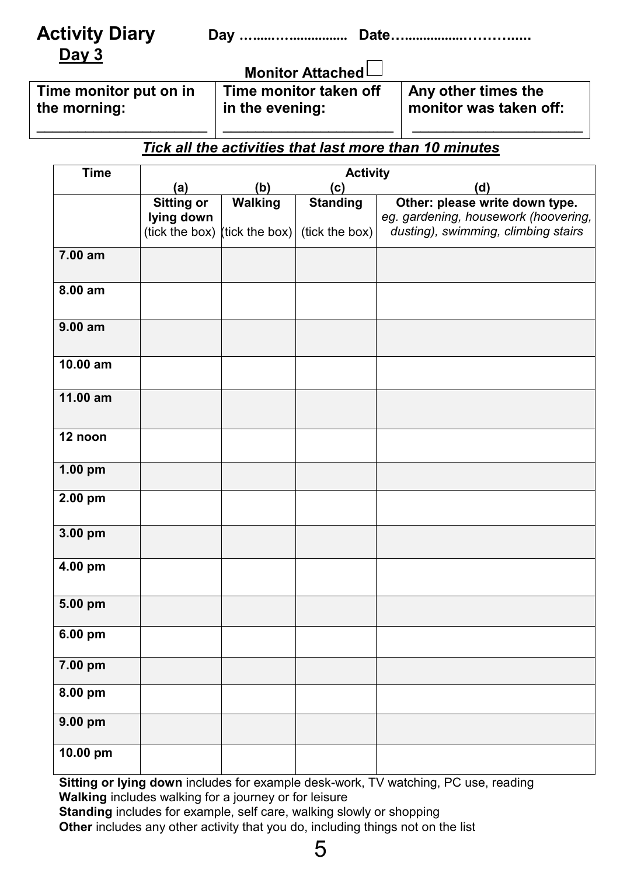| <b>Activity Diary</b> | <b>Day</b> |  |
|-----------------------|------------|--|
| Day 3                 |            |  |

**Time monitor put on in the morning:**

\_\_\_\_\_\_\_\_\_\_\_\_\_\_\_\_\_\_\_\_\_

 **Monitor Attached** 

\_\_\_\_\_\_\_\_\_\_\_\_\_\_\_\_\_\_\_\_\_

**Time monitor taken off in the evening:**

**Any other times the monitor was taken off:**

\_\_\_\_\_\_\_\_\_\_\_\_\_\_\_\_\_\_\_\_\_

### *Tick all the activities that last more than 10 minutes*

| <b>Time</b> |                   | <b>Activity</b> |                                              |                                      |
|-------------|-------------------|-----------------|----------------------------------------------|--------------------------------------|
|             | (a)               | (b)             | (c)                                          | (d)                                  |
|             | <b>Sitting or</b> | <b>Walking</b>  | <b>Standing</b>                              | Other: please write down type.       |
|             | lying down        |                 |                                              | eg. gardening, housework (hoovering, |
|             |                   |                 | (tick the box) (tick the box) (tick the box) | dusting), swimming, climbing stairs  |
|             |                   |                 |                                              |                                      |
| 7.00 am     |                   |                 |                                              |                                      |
|             |                   |                 |                                              |                                      |
|             |                   |                 |                                              |                                      |
| 8.00 am     |                   |                 |                                              |                                      |
|             |                   |                 |                                              |                                      |
| $9.00$ am   |                   |                 |                                              |                                      |
|             |                   |                 |                                              |                                      |
|             |                   |                 |                                              |                                      |
| 10.00 am    |                   |                 |                                              |                                      |
|             |                   |                 |                                              |                                      |
|             |                   |                 |                                              |                                      |
| 11.00 am    |                   |                 |                                              |                                      |
|             |                   |                 |                                              |                                      |
|             |                   |                 |                                              |                                      |
| 12 noon     |                   |                 |                                              |                                      |
|             |                   |                 |                                              |                                      |
| 1.00 pm     |                   |                 |                                              |                                      |
|             |                   |                 |                                              |                                      |
| 2.00 pm     |                   |                 |                                              |                                      |
|             |                   |                 |                                              |                                      |
|             |                   |                 |                                              |                                      |
| 3.00 pm     |                   |                 |                                              |                                      |
|             |                   |                 |                                              |                                      |
| 4.00 pm     |                   |                 |                                              |                                      |
|             |                   |                 |                                              |                                      |
|             |                   |                 |                                              |                                      |
| 5.00 pm     |                   |                 |                                              |                                      |
|             |                   |                 |                                              |                                      |
| 6.00 pm     |                   |                 |                                              |                                      |
|             |                   |                 |                                              |                                      |
| 7.00 pm     |                   |                 |                                              |                                      |
|             |                   |                 |                                              |                                      |
| 8.00 pm     |                   |                 |                                              |                                      |
|             |                   |                 |                                              |                                      |
|             |                   |                 |                                              |                                      |
| 9.00 pm     |                   |                 |                                              |                                      |
|             |                   |                 |                                              |                                      |
| 10.00 pm    |                   |                 |                                              |                                      |
|             |                   |                 |                                              |                                      |

**Sitting or lying down** includes for example desk-work, TV watching, PC use, reading **Walking** includes walking for a journey or for leisure **Standing** includes for example, self care, walking slowly or shopping

**Other** includes any other activity that you do, including things not on the list